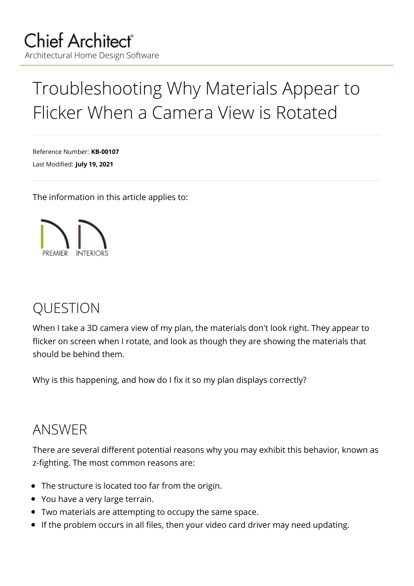# <span id="page-0-0"></span>Troubleshooting Why Materials Appear to Flicker When a Camera View is Rotated

Reference Number: **KB-00107** Last Modified: **July 19, 2021**

The information in this article applies to:



## QUESTION

When I take a 3D camera view of my plan, the materials don't look right. They appear to flicker on screen when I rotate, and look as though they are showing the materials that should be behind them.

Why is this happening, and how do I fix it so my plan displays correctly?

## ANSWER

There are several different potential reasons why you may exhibit this behavior, known as z-fighting. The most common reasons are:

- The structure is located too far from the origin.
- You have a very large terrain.
- Two materials are attempting to occupy the same space.  $\bullet$
- If the problem occurs in all files, then your video card driver may need updating.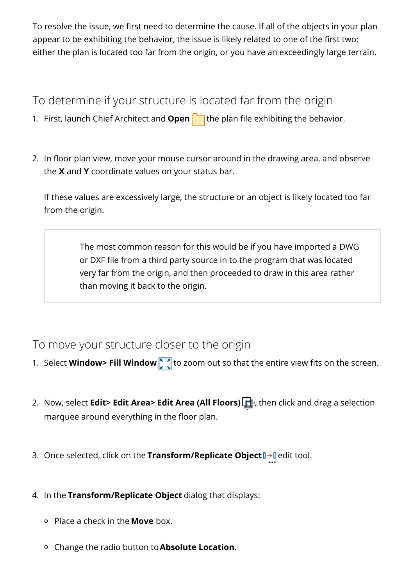To resolve the issue, we first need to determine the cause. If all of the objects in your plan appear to be exhibiting the behavior, the issue is likely related to one of the first two; either the plan is located too far from the origin, or you have an exceedingly large terrain.

To determine if your structure is located far from the origin

- 1. First, launch Chief Architect and **Open** the plan file exhibiting the behavior.
- 2. In floor plan view, move your mouse cursor around in the drawing area, and observe the **X** and **Y** coordinate values on your status bar.

If these values are excessively large, the structure or an object is likely located too far from the origin.

> The most common reason for this would be if you have imported a DWG or DXF file from a third party source in to the program that was located very far from the origin, and then proceeded to draw in this area rather than moving it back to the origin.

#### To move your structure closer to the origin

- 1. Select **Window> Fill Window** to zoom out so that the entire view fits on the screen.
- 2. Now, select **Edit> Edit Area> Edit Area (All Floors)** , then click and drag a selection marquee around everything in the floor plan.
- 3. Once selected, click on the Transform/Replicate Object  $\mathbb{I}$ +**I** edit tool.
- 4. In the **Transform/Replicate Object** dialog that displays:
	- Place a check in the **Move** box.
	- Change the radio button to**Absolute Location**.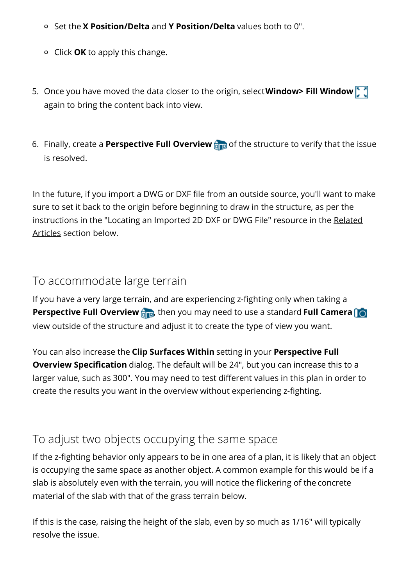- Set the **X Position/Delta** and **Y Position/Delta** values both to 0".
- Click **OK** to apply this change.
- 5. Once you have moved the data closer to the origin, select**Window> Fill Window** again to bring the content back into view.
- 6. Finally, create a **Perspective Full Overview of** the structure to verify that the issue is resolved.

In the future, if you import a DWG or DXF file from an outside source, you'll want to make sure to set it back to the origin before beginning to draw in the structure, as per the [instructions](#page-0-0) in the "Locating an Imported 2D DXF or DWG File" resource in the Related Articles section below.

#### To accommodate large terrain

If you have a very large terrain, and are experiencing z-fighting only when taking a **Perspective Full Overview on** then you may need to use a standard **Full Camera [**O] view outside of the structure and adjust it to create the type of view you want.

You can also increase the **Clip Surfaces Within** setting in your **Perspective Full Overview Specification** dialog. The default will be 24", but you can increase this to a larger value, such as 300". You may need to test different values in this plan in order to create the results you want in the overview without experiencing z-fighting.

#### To adjust two objects occupying the same space

If the z-fighting behavior only appears to be in one area of a plan, it is likely that an object is occupying the same space as another object. A common example for this would be if a slab is absolutely even with the terrain, you will notice the flickering of the concrete material of the slab with that of the grass terrain below.

If this is the case, raising the height of the slab, even by so much as 1/16" will typically resolve the issue.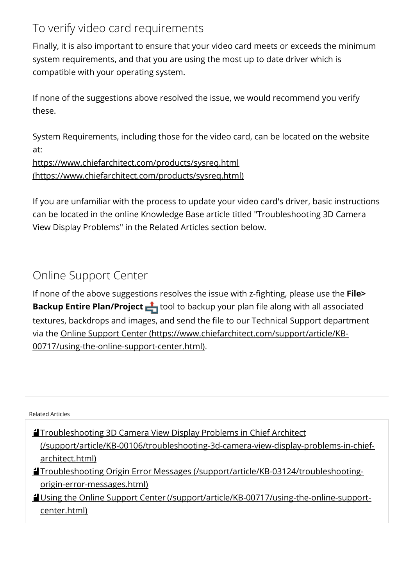## To verify video card requirements

Finally, it is also important to ensure that your video card meets or exceeds the minimum system requirements, and that you are using the most up to date driver which is compatible with your operating system.

If none of the suggestions above resolved the issue, we would recommend you verify these.

System Requirements, including those for the video card, can be located on the website at:

https://www.chiefarchitect.com/products/sysreq.html [\(https://www.chiefarchitect.com/products/sysreq.html\)](https://www.chiefarchitect.com/products/sysreq.html)

If you are unfamiliar with the process to update your video card's driver, basic instructions can be located in the online Knowledge Base article titled "Troubleshooting 3D Camera View Display Problems" in the [Related](#page-0-0) Articles section below.

## Online Support Center

If none of the above suggestions resolves the issue with z-fighting, please use the File> **Backup Entire Plan/Project t** tool to backup your plan file along with all associated textures, backdrops and images, and send the file to our Technical Support department via the Online Support Center [\(https://www.chiefarchitect.com/support/article/KB-](https://www.chiefarchitect.com/support/article/KB-00717/using-the-online-support-center.html)00717/using-the-online-support-center.html).

Related Articles

**Troubleshooting 3D Camera View Display Problems in Chief Architect** [\(/support/article/KB-00106/troubleshooting-3d-camera-view-display-problems-in-chief](/support/article/KB-00106/troubleshooting-3d-camera-view-display-problems-in-chief-architect.html)architect.html)

Troubleshooting Origin Error Messages [\(/support/article/KB-03124/troubleshooting](/support/article/KB-03124/troubleshooting-origin-error-messages.html)origin-error-messages.html)

Using the Online Support Center [\(/support/article/KB-00717/using-the-online-support](/support/article/KB-00717/using-the-online-support-center.html)center.html)